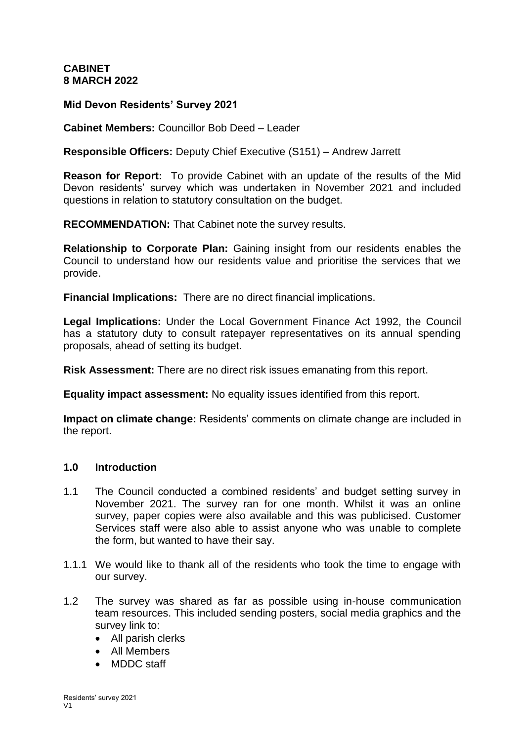# **CABINET 8 MARCH 2022**

## **Mid Devon Residents' Survey 2021**

**Cabinet Members:** Councillor Bob Deed – Leader

**Responsible Officers:** Deputy Chief Executive (S151) – Andrew Jarrett

**Reason for Report:** To provide Cabinet with an update of the results of the Mid Devon residents' survey which was undertaken in November 2021 and included questions in relation to statutory consultation on the budget.

**RECOMMENDATION:** That Cabinet note the survey results.

**Relationship to Corporate Plan:** Gaining insight from our residents enables the Council to understand how our residents value and prioritise the services that we provide.

**Financial Implications:** There are no direct financial implications.

**Legal Implications:** Under the Local Government Finance Act 1992, the Council has a statutory duty to consult ratepayer representatives on its annual spending proposals, ahead of setting its budget.

**Risk Assessment:** There are no direct risk issues emanating from this report.

**Equality impact assessment:** No equality issues identified from this report.

**Impact on climate change:** Residents' comments on climate change are included in the report.

#### **1.0 Introduction**

- 1.1 The Council conducted a combined residents' and budget setting survey in November 2021. The survey ran for one month. Whilst it was an online survey, paper copies were also available and this was publicised. Customer Services staff were also able to assist anyone who was unable to complete the form, but wanted to have their say.
- 1.1.1 We would like to thank all of the residents who took the time to engage with our survey.
- 1.2 The survey was shared as far as possible using in-house communication team resources. This included sending posters, social media graphics and the survey link to:
	- All parish clerks
	- All Members
	- MDDC staff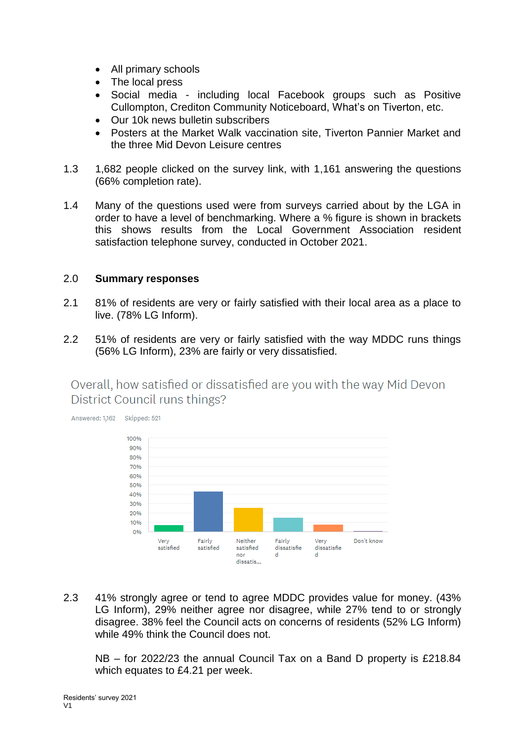- All primary schools
- The local press
- Social media including local Facebook groups such as Positive Cullompton, Crediton Community Noticeboard, What's on Tiverton, etc.
- Our 10k news bulletin subscribers
- Posters at the Market Walk vaccination site, Tiverton Pannier Market and the three Mid Devon Leisure centres
- 1.3 1,682 people clicked on the survey link, with 1,161 answering the questions (66% completion rate).
- 1.4 Many of the questions used were from surveys carried about by the LGA in order to have a level of benchmarking. Where a % figure is shown in brackets this shows results from the Local Government Association resident satisfaction telephone survey, conducted in October 2021.

## 2.0 **Summary responses**

- 2.1 81% of residents are very or fairly satisfied with their local area as a place to live. (78% LG Inform).
- 2.2 51% of residents are very or fairly satisfied with the way MDDC runs things (56% LG Inform), 23% are fairly or very dissatisfied.

Overall, how satisfied or dissatisfied are you with the way Mid Devon District Council runs things?



2.3 41% strongly agree or tend to agree MDDC provides value for money. (43% LG Inform), 29% neither agree nor disagree, while 27% tend to or strongly disagree. 38% feel the Council acts on concerns of residents (52% LG Inform) while 49% think the Council does not.

NB – for 2022/23 the annual Council Tax on a Band D property is £218.84 which equates to £4.21 per week.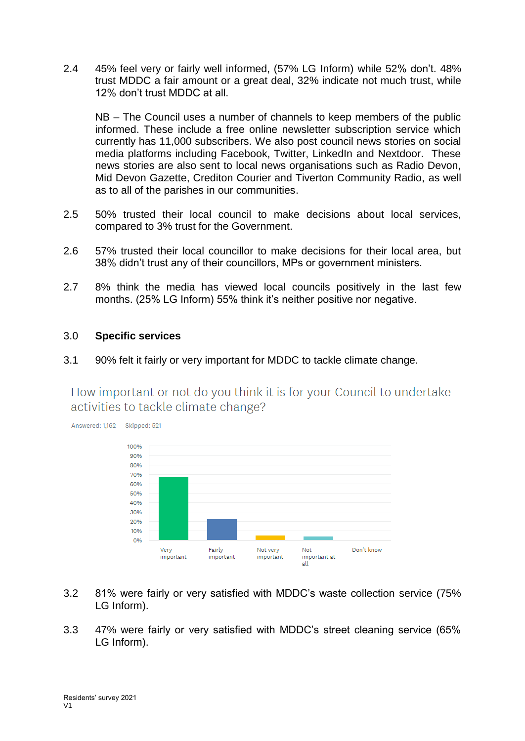2.4 45% feel very or fairly well informed, (57% LG Inform) while 52% don't. 48% trust MDDC a fair amount or a great deal, 32% indicate not much trust, while 12% don't trust MDDC at all.

NB – The Council uses a number of channels to keep members of the public informed. These include a free online newsletter subscription service which currently has 11,000 subscribers. We also post council news stories on social media platforms including Facebook, Twitter, LinkedIn and Nextdoor. These news stories are also sent to local news organisations such as Radio Devon, Mid Devon Gazette, Crediton Courier and Tiverton Community Radio, as well as to all of the parishes in our communities.

- 2.5 50% trusted their local council to make decisions about local services, compared to 3% trust for the Government.
- 2.6 57% trusted their local councillor to make decisions for their local area, but 38% didn't trust any of their councillors, MPs or government ministers.
- 2.7 8% think the media has viewed local councils positively in the last few months. (25% LG Inform) 55% think it's neither positive nor negative.

## 3.0 **Specific services**

3.1 90% felt it fairly or very important for MDDC to tackle climate change.

How important or not do you think it is for your Council to undertake activities to tackle climate change?



- 3.2 81% were fairly or very satisfied with MDDC's waste collection service (75% LG Inform).
- 3.3 47% were fairly or very satisfied with MDDC's street cleaning service (65% LG Inform).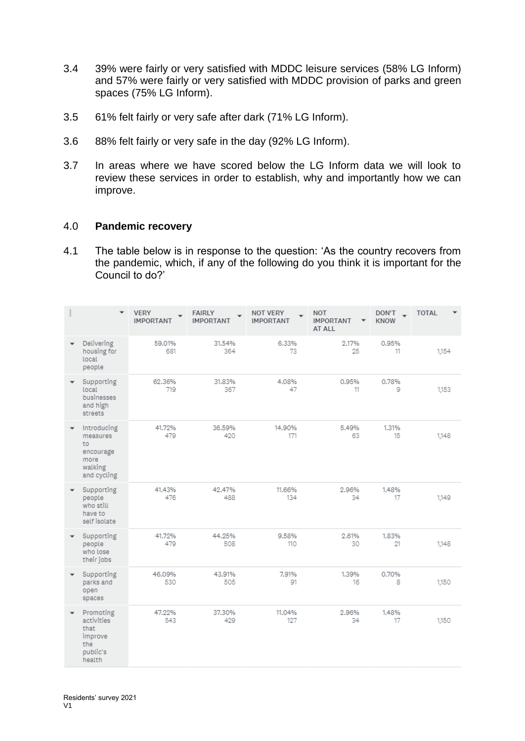- 3.4 39% were fairly or very satisfied with MDDC leisure services (58% LG Inform) and 57% were fairly or very satisfied with MDDC provision of parks and green spaces (75% LG Inform).
- 3.5 61% felt fairly or very safe after dark (71% LG Inform).
- 3.6 88% felt fairly or very safe in the day (92% LG Inform).
- 3.7 In areas where we have scored below the LG Inform data we will look to review these services in order to establish, why and importantly how we can improve.

## 4.0 **Pandemic recovery**

4.1 The table below is in response to the question: 'As the country recovers from the pandemic, which, if any of the following do you think it is important for the Council to do?'

|   | $\overline{\phantom{a}}$                                                     | <b>VERY</b><br><b>IMPORTANT</b> | <b>FAIRLY</b><br><b>IMPORTANT</b> | NOT VERY<br><b>IMPORTANT</b> | <b>NOT</b><br><b>IMPORTANT</b><br>AT ALL | DON'T<br><b>KNOW</b> | <b>TOTAL</b> |
|---|------------------------------------------------------------------------------|---------------------------------|-----------------------------------|------------------------------|------------------------------------------|----------------------|--------------|
|   | Delivering<br>housing for<br>local<br>people                                 | 59.01%<br>681                   | 31.54%<br>364                     | 6.33%<br>73                  | 2.17%<br>25                              | 0.95%<br>11          | 1,154        |
|   | Supporting<br>local<br>businesses<br>and high<br>streets                     | 62.36%<br>719                   | 31,83%<br>367                     | 4.08%<br>47                  | 0.95%<br>11                              | 0.78%<br>9           | 1,153        |
|   | Introducing<br>measures<br>to<br>encourage<br>more<br>walking<br>and cycling | 41.72%<br>479                   | 36.59%<br>420                     | 14.90%<br>171                | 5.49%<br>63                              | 1.31%<br>15          | 1,148        |
| ٠ | Supporting<br>people<br>who still<br>have to<br>self isolate                 | 41.43%<br>476                   | 42,47%<br>488                     | 11.66%<br>134                | 2.96%<br>34                              | 1.48%<br>17          | 1.149        |
|   | Supporting<br>people<br>who lose<br>their jobs                               | 41.72%<br>479                   | 44.25%<br>508                     | 9.58%<br>110                 | 2.61%<br>30                              | 1.83%<br>21          | 1,148        |
|   | Supporting<br>parks and<br>open<br>spaces                                    | 46.09%<br>530                   | 43.91%<br>505                     | 7.91%<br>91                  | 1.39%<br>16                              | 0.70%<br>8           | 1,150        |
|   | Promoting<br>activities<br>that<br>improve<br>the<br>public's<br>health      | 47.22%<br>543                   | 37.30%<br>429                     | 11.04%<br>127                | 2.96%<br>34                              | 1.48%<br>17          | 1,150        |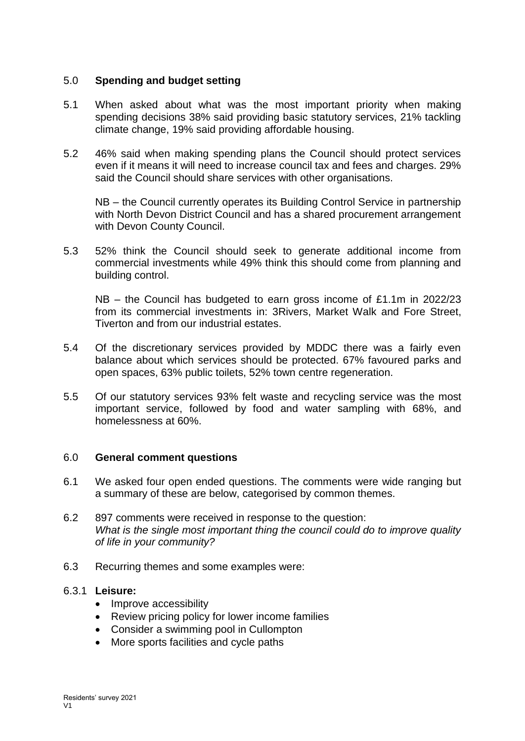## 5.0 **Spending and budget setting**

- 5.1 When asked about what was the most important priority when making spending decisions 38% said providing basic statutory services, 21% tackling climate change, 19% said providing affordable housing.
- 5.2 46% said when making spending plans the Council should protect services even if it means it will need to increase council tax and fees and charges. 29% said the Council should share services with other organisations.

NB – the Council currently operates its Building Control Service in partnership with North Devon District Council and has a shared procurement arrangement with Devon County Council.

5.3 52% think the Council should seek to generate additional income from commercial investments while 49% think this should come from planning and building control.

NB – the Council has budgeted to earn gross income of £1.1m in 2022/23 from its commercial investments in: 3Rivers, Market Walk and Fore Street, Tiverton and from our industrial estates.

- 5.4 Of the discretionary services provided by MDDC there was a fairly even balance about which services should be protected. 67% favoured parks and open spaces, 63% public toilets, 52% town centre regeneration.
- 5.5 Of our statutory services 93% felt waste and recycling service was the most important service, followed by food and water sampling with 68%, and homelessness at 60%.

#### 6.0 **General comment questions**

- 6.1 We asked four open ended questions. The comments were wide ranging but a summary of these are below, categorised by common themes.
- 6.2 897 comments were received in response to the question: *What is the single most important thing the council could do to improve quality of life in your community?*
- 6.3 Recurring themes and some examples were:

#### 6.3.1 **Leisure:**

- Improve accessibility
- Review pricing policy for lower income families
- Consider a swimming pool in Cullompton
- More sports facilities and cycle paths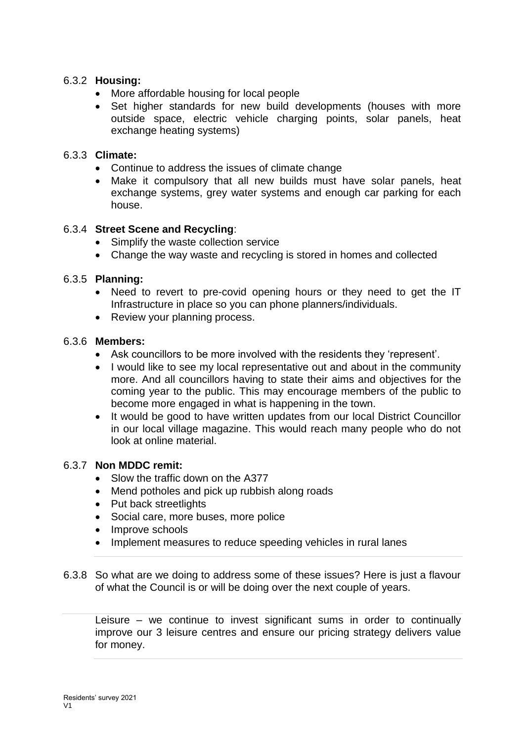# 6.3.2 **Housing:**

- More affordable housing for local people
- Set higher standards for new build developments (houses with more outside space, electric vehicle charging points, solar panels, heat exchange heating systems)

## 6.3.3 **Climate:**

- Continue to address the issues of climate change
- Make it compulsory that all new builds must have solar panels, heat exchange systems, grey water systems and enough car parking for each house.

# 6.3.4 **Street Scene and Recycling**:

- Simplify the waste collection service
- Change the way waste and recycling is stored in homes and collected

## 6.3.5 **Planning:**

- Need to revert to pre-covid opening hours or they need to get the IT Infrastructure in place so you can phone planners/individuals.
- Review your planning process.

#### 6.3.6 **Members:**

- Ask councillors to be more involved with the residents they 'represent'.
- I would like to see my local representative out and about in the community more. And all councillors having to state their aims and objectives for the coming year to the public. This may encourage members of the public to become more engaged in what is happening in the town.
- It would be good to have written updates from our local District Councillor in our local village magazine. This would reach many people who do not look at online material.

## 6.3.7 **Non MDDC remit:**

- Slow the traffic down on the A377
- Mend potholes and pick up rubbish along roads
- Put back streetlights
- Social care, more buses, more police
- Improve schools
- Implement measures to reduce speeding vehicles in rural lanes
- 6.3.8 So what are we doing to address some of these issues? Here is just a flavour of what the Council is or will be doing over the next couple of years.

Leisure – we continue to invest significant sums in order to continually improve our 3 leisure centres and ensure our pricing strategy delivers value for money.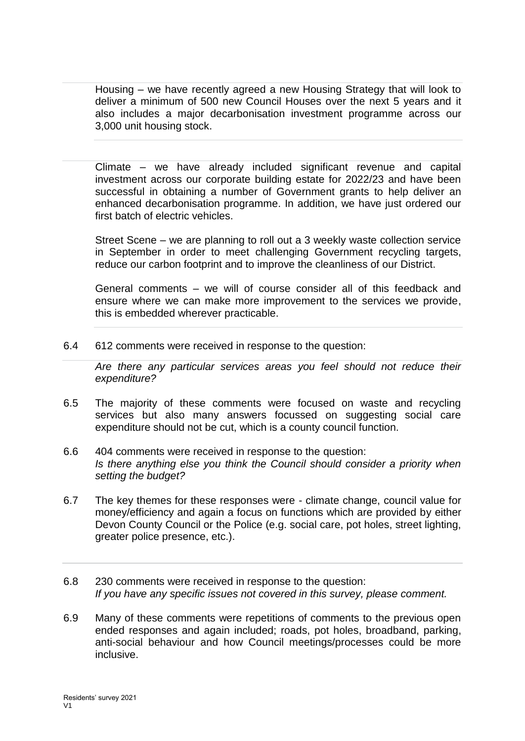Housing – we have recently agreed a new Housing Strategy that will look to deliver a minimum of 500 new Council Houses over the next 5 years and it also includes a major decarbonisation investment programme across our 3,000 unit housing stock.

Climate – we have already included significant revenue and capital investment across our corporate building estate for 2022/23 and have been successful in obtaining a number of Government grants to help deliver an enhanced decarbonisation programme. In addition, we have just ordered our first batch of electric vehicles.

Street Scene – we are planning to roll out a 3 weekly waste collection service in September in order to meet challenging Government recycling targets, reduce our carbon footprint and to improve the cleanliness of our District.

General comments – we will of course consider all of this feedback and ensure where we can make more improvement to the services we provide, this is embedded wherever practicable.

6.4 612 comments were received in response to the question:

*Are there any particular services areas you feel should not reduce their expenditure?*

- 6.5 The majority of these comments were focused on waste and recycling services but also many answers focussed on suggesting social care expenditure should not be cut, which is a county council function.
- 6.6 404 comments were received in response to the question: *Is there anything else you think the Council should consider a priority when setting the budget?*
- 6.7 The key themes for these responses were climate change, council value for money/efficiency and again a focus on functions which are provided by either Devon County Council or the Police (e.g. social care, pot holes, street lighting, greater police presence, etc.).
- 6.8 230 comments were received in response to the question: *If you have any specific issues not covered in this survey, please comment.*
- 6.9 Many of these comments were repetitions of comments to the previous open ended responses and again included; roads, pot holes, broadband, parking, anti-social behaviour and how Council meetings/processes could be more inclusive.